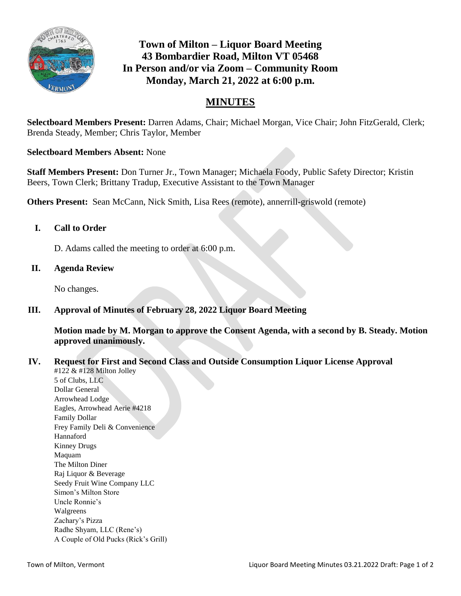

# **Town of Milton – Liquor Board Meeting 43 Bombardier Road, Milton VT 05468 In Person and/or via Zoom – Community Room Monday, March 21, 2022 at 6:00 p.m.**

# **MINUTES**

**Selectboard Members Present:** Darren Adams, Chair; Michael Morgan, Vice Chair; John FitzGerald, Clerk; Brenda Steady, Member; Chris Taylor, Member

## **Selectboard Members Absent:** None

**Staff Members Present:** Don Turner Jr., Town Manager; Michaela Foody, Public Safety Director; Kristin Beers, Town Clerk; Brittany Tradup, Executive Assistant to the Town Manager

**Others Present:** Sean McCann, Nick Smith, Lisa Rees (remote), annerrill-griswold (remote)

## **I. Call to Order**

D. Adams called the meeting to order at 6:00 p.m.

#### **II. Agenda Review**

No changes.

#### **III. Approval of Minutes of February 28, 2022 Liquor Board Meeting**

**Motion made by M. Morgan to approve the Consent Agenda, with a second by B. Steady. Motion approved unanimously.**

#### **IV. Request for First and Second Class and Outside Consumption Liquor License Approval**

#122 & #128 Milton Jolley 5 of Clubs, LLC Dollar General Arrowhead Lodge Eagles, Arrowhead Aerie #4218 Family Dollar Frey Family Deli & Convenience Hannaford Kinney Drugs Maquam The Milton Diner Raj Liquor & Beverage Seedy Fruit Wine Company LLC Simon's Milton Store Uncle Ronnie's Walgreens Zachary's Pizza Radhe Shyam, LLC (Rene's) A Couple of Old Pucks (Rick's Grill)